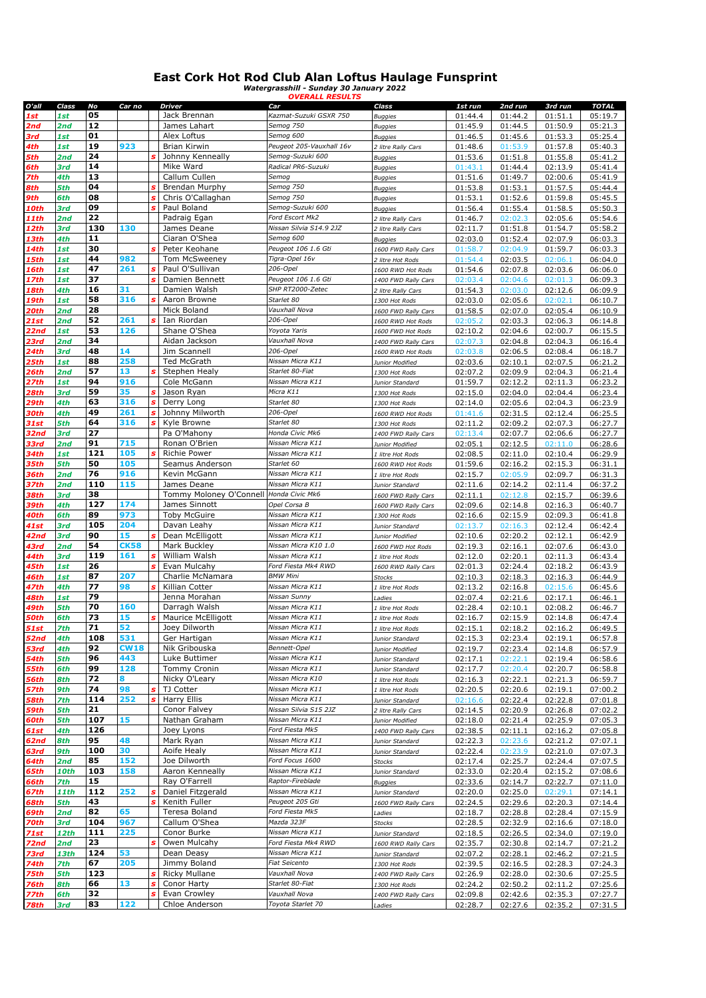## **East Cork Hot Rod Club Alan Loftus Haulage Funsprint** *Watergrasshill - Sunday 30 January 2022 OVERALL RESULTS*

| O'all       | Class       | No  | Car no      | Driver                                  | Car                      | Class               | 1st run | 2nd run | 3rd run | <b>TOTAL</b> |
|-------------|-------------|-----|-------------|-----------------------------------------|--------------------------|---------------------|---------|---------|---------|--------------|
| 1st         | 1st         | 05  |             | Jack Brennan                            | Kazmat-Suzuki GSXR 750   | <b>Buggies</b>      | 01:44.4 | 01:44.2 | 01:51.1 | 05:19.7      |
| 2nd         | 2nd         | 12  |             | James Lahart                            | Semog 750                | <b>Buggies</b>      | 01:45.9 | 01:44.5 | 01:50.9 | 05:21.3      |
|             |             | 01  |             | Alex Loftus                             | Semog 600                |                     |         |         |         |              |
| 3rd         | 1st         |     |             |                                         |                          | <b>Buggies</b>      | 01:46.5 | 01:45.6 | 01:53.3 | 05:25.4      |
| 4th         | 1st         | 19  | 923         | Brian Kirwin                            | Peugeot 205-Vauxhall 16v | 2 litre Rally Cars  | 01:48.6 | 01:53.9 | 01:57.8 | 05:40.3      |
| 5th         | 2nd         | 24  |             | Johnny Kenneally                        | Semog-Suzuki 600         | <b>Buggies</b>      | 01:53.6 | 01:51.8 | 01:55.8 | 05:41.2      |
| 6th         | 3rd         | 14  |             | Mike Ward                               | Radical PR6-Suzuki       | <b>Buggies</b>      | 01:43.1 | 01:44.4 | 02:13.9 | 05:41.4      |
| 7th         | 4th         | 13  |             | Callum Cullen                           | Semog                    | <b>Buggies</b>      | 01:51.6 | 01:49.7 | 02:00.6 | 05:41.9      |
| 8th         | 5th         | 04  |             | <b>Brendan Murphy</b>                   | Semog 750                | <b>Buggies</b>      | 01:53.8 | 01:53.1 | 01:57.5 | 05:44.4      |
| 9th         | 6th         | 08  |             | Chris O'Callaghan                       | Semog 750                | <b>Buggies</b>      | 01:53.1 | 01:52.6 | 01:59.8 | 05:45.5      |
| 10th        | 3rd         | 09  |             | Paul Boland                             | Semog-Suzuki 600         | <b>Buggies</b>      | 01:56.4 | 01:55.4 | 01:58.5 | 05:50.3      |
| 11th        | 2nd         | 22  |             | Padraig Egan                            | Ford Escort Mk2          |                     |         | 02:02.3 |         | 05:54.6      |
|             |             |     | 130         |                                         |                          | 2 litre Rally Cars  | 01:46.7 |         | 02:05.6 |              |
| 12th        | 3rd         | 130 |             | James Deane                             | Nissan Silvia S14.9 2JZ  | 2 litre Rally Cars  | 02:11.7 | 01:51.8 | 01:54.7 | 05:58.2      |
| l 3th       | 4th         | 11  |             | Ciaran O'Shea                           | Semog 600                | <b>Buggies</b>      | 02:03.0 | 01:52.4 | 02:07.9 | 06:03.3      |
| l 4th       | 1st         | 30  |             | Peter Keohane                           | Peugeot 106 1.6 Gti      | 1600 FWD Rally Cars | 01:58.7 | 02:04.9 | 01:59.7 | 06:03.3      |
| l 5th       | 1st         | 44  | 982         | Tom McSweeney                           | Tigra-Opel 16v           | 2 litre Hot Rods    | 01:54.4 | 02:03.5 | 02:06.1 | 06:04.0      |
| l 6th       | 1st         | 47  | 261         | Paul O'Sullivan                         | 206-Opel                 | 1600 RWD Hot Rods   | 01:54.6 | 02:07.8 | 02:03.6 | 06:06.0      |
| 17th        | 1st         | 37  |             | Damien Bennett                          | Peugeot 106 1.6 Gti      | 1400 FWD Rally Cars | 02:03.4 | 02:04.6 | 02:01.3 | 06:09.3      |
| 18th        | 4th         | 16  | 31          | Damien Walsh                            | SHP RT2000-Zetec         | 2 litre Rally Cars  | 01:54.3 | 02:03.0 | 02:12.6 | 06:09.9      |
| 19th        | 1st         | 58  | 316         | Aaron Browne                            | Starlet 80               | 1300 Hot Rods       | 02:03.0 | 02:05.6 | 02:02.1 | 06:10.7      |
| 20th        | 2nd         | 28  |             | Mick Boland                             | Vauxhall Nova            | 1600 FWD Rally Cars | 01:58.5 | 02:07.0 | 02:05.4 | 06:10.9      |
|             |             | 52  | 261         |                                         |                          |                     |         |         |         |              |
| 21st        | 2nd         |     |             | Ian Riordan                             | 206-Opel                 | 1600 RWD Hot Rods   | 02:05.2 | 02:03.3 | 02:06.3 | 06:14.8      |
| 22nd        | 1st         | 53  | 126         | Shane O'Shea                            | Yoyota Yaris             | 1600 FWD Hot Rods   | 02:10.2 | 02:04.6 | 02:00.7 | 06:15.5      |
| 23rd        | 2nd         | 34  |             | Aidan Jackson                           | Vauxhall Nova            | 1400 FWD Rally Cars | 02:07.3 | 02:04.8 | 02:04.3 | 06:16.4      |
| 24th        | 3rd         | 48  | 14          | Jim Scannell                            | 206-Opel                 | 1600 RWD Hot Rods   | 02:03.8 | 02:06.5 | 02:08.4 | 06:18.7      |
| 25th        | 1st         | 88  | 258         | <b>Ted McGrath</b>                      | Nissan Micra K11         | Junior Modified     | 02:03.6 | 02:10.1 | 02:07.5 | 06:21.2      |
| 26th        | 2nd         | 57  | 13          | Stephen Healy                           | Starlet 80-Fiat          | 1300 Hot Rods       | 02:07.2 | 02:09.9 | 02:04.3 | 06:21.4      |
| 27th        | 1st         | 94  | 916         | Cole McGann                             | Nissan Micra K11         | Junior Standard     | 01:59.7 | 02:12.2 | 02:11.3 | 06:23.2      |
| 28th        | 3rd         | 59  | 35          | Jason Ryan                              | Micra K11                | 1300 Hot Rods       | 02:15.0 | 02:04.0 | 02:04.4 | 06:23.4      |
| 29th        | 4th         | 63  | 316         | Derry Long                              | Starlet 80               | 1300 Hot Rods       | 02:14.0 | 02:05.6 | 02:04.3 | 06:23.9      |
|             |             |     |             |                                         |                          |                     |         |         |         |              |
| 30th        | 4th         | 49  | 261         | Johnny Milworth                         | 206-Opel                 | 1600 RWD Hot Rods   | 01:41.6 | 02:31.5 | 02:12.4 | 06:25.5      |
| 31st        | 5th         | 64  | 316         | Kyle Browne                             | Starlet 80               | 1300 Hot Rods       | 02:11.2 | 02:09.2 | 02:07.3 | 06:27.7      |
| 32nd        | 3rd         | 27  |             | Pa O'Mahony                             | Honda Civic Mk6          | 1400 FWD Rally Cars | 02:13.4 | 02:07.7 | 02:06.6 | 06:27.7      |
| 33rd        | 2nd         | 91  | 715         | Ronan O'Brien                           | Nissan Micra K11         | Junior Modified     | 02:05.1 | 02:12.5 | 02:11.0 | 06:28.6      |
| 34th        | 1st         | 121 | 105         | Richie Power                            | Nissan Micra K11         | 1 litre Hot Rods    | 02:08.5 | 02:11.0 | 02:10.4 | 06:29.9      |
| 35th        | 5th         | 50  | 105         | Seamus Anderson                         | Starlet 60               | 1600 RWD Hot Rods   | 01:59.6 | 02:16.2 | 02:15.3 | 06:31.1      |
| 36th        | 2nd         | 76  | 916         | Kevin McGann                            | Nissan Micra K11         | 1 litre Hot Rods    | 02:15.7 | 02:05.9 | 02:09.7 | 06:31.3      |
| 37th        | 2nd         | 110 | 115         | James Deane                             | Nissan Micra K11         | Junior Standard     | 02:11.6 | 02:14.2 | 02:11.4 | 06:37.2      |
|             |             | 38  |             |                                         |                          |                     |         |         |         |              |
| 38th        | 3rd         |     |             | Tommy Moloney O'Connell Honda Civic Mk6 |                          | 1600 FWD Rally Cars | 02:11.1 | 02:12.8 | 02:15.7 | 06:39.6      |
| 39th        | 4th         | 127 | 174         | James Sinnott                           | Opel Corsa B             | 1600 FWD Rally Cars | 02:09.6 | 02:14.8 | 02:16.3 | 06:40.7      |
| 40th        | 6th         | 89  | 973         | <b>Toby McGuire</b>                     | Nissan Micra K11         | 1300 Hot Rods       | 02:16.6 | 02:15.9 | 02:09.3 | 06:41.8      |
| 41st        | 3rd         | 105 | 204         | Davan Leahy                             | Nissan Micra K11         | Junior Standard     | 02:13.7 | 02:16.3 | 02:12.4 | 06:42.4      |
| 42nd        | 3rd         | 90  | 15          | Dean McElligott                         | Nissan Micra K11         | Junior Modified     | 02:10.6 | 02:20.2 | 02:12.1 | 06:42.9      |
| 43rd        | 2nd         | 54  | <b>CK58</b> | Mark Buckley                            | Nissan Micra K10 1.0     | 1600 FWD Hot Rods   | 02:19.3 | 02:16.1 | 02:07.6 | 06:43.0      |
| 44th        | 3rd         | 119 | 161         | William Walsh                           | Nissan Micra K11         | 1 litre Hot Rods    | 02:12.0 | 02:20.1 | 02:11.3 | 06:43.4      |
| 45th        | 1st         | 26  |             | Evan Mulcahy                            | Ford Fiesta Mk4 RWD      | 1600 RWD Rally Cars | 02:01.3 | 02:24.4 | 02:18.2 | 06:43.9      |
| 46th        | 1st         | 87  | 207         | Charlie McNamara                        | <b>BMW Mini</b>          | Stocks              | 02:10.3 | 02:18.3 | 02:16.3 | 06:44.9      |
|             |             | 77  | 98          | Killian Cotter                          | Nissan Micra K11         |                     |         |         |         |              |
| 47th        | 4th         |     |             |                                         |                          | 1 litre Hot Rods    | 02:13.2 | 02:16.8 | 02:15.6 | 06:45.6      |
| 48th        | 1st         | 79  |             | Jenna Morahan                           | Nissan Sunny             | Ladies              | 02:07.4 | 02:21.6 | 02:17.1 | 06:46.1      |
| 49th        | 5th         | 70  | 160         | Darragh Walsh                           | Nissan Micra K11         | 1 litre Hot Rods    | 02:28.4 | 02:10.1 | 02:08.2 | 06:46.7      |
| 50th        | 6th         | 73  | 15          | Maurice McElligott                      | Nissan Micra K11         | 1 litre Hot Rods    | 02:16.7 | 02:15.9 | 02:14.8 | 06:47.4      |
| <b>51st</b> | 7th         | 71  | 52          | Joey Dilworth                           | Nissan Micra K11         | 1 litre Hot Rods    | 02:15.1 | 02:18.2 | 02:16.2 | 06:49.5      |
| 52nd        | 4th         | 108 | 531         | Ger Hartigan                            | Nissan Micra K11         | Junior Standard     | 02:15.3 | 02:23.4 | 02:19.1 | 06:57.8      |
| 53rd        | 4th         | 92  | <b>CW18</b> | Nik Gribouska                           | Bennett-Opel             | Junior Modified     | 02:19.7 | 02:23.4 | 02:14.8 | 06:57.9      |
| 54th        | 5th         | 96  | 443         | Luke Buttimer                           | Nissan Micra K11         | Junior Standard     | 02:17.1 | 02:22.1 | 02:19.4 | 06:58.6      |
| 55th        | 6th         | 99  | 128         | Tommy Cronin                            | Nissan Micra K11         | Junior Standard     | 02:17.7 | 02:20.4 | 02:20.7 | 06:58.8      |
| 56th        | 8th         | 72  | 8           | Nicky O'Leary                           | Nissan Micra K10         | 1 litre Hot Rods    | 02:16.3 | 02:22.1 | 02:21.3 | 06:59.7      |
|             |             | 74  | 98          | TJ Cotter                               | Nissan Micra K11         |                     |         |         |         |              |
| 57th        | 9th         | 114 | 252         | <b>Harry Ellis</b>                      | Nissan Micra K11         | 1 litre Hot Rods    | 02:20.5 | 02:20.6 | 02:19.1 | 07:00.2      |
| 58th        | <b>7th</b>  |     |             |                                         |                          | Junior Standard     | 02:16.6 | 02:22.4 | 02:22.8 | 07:01.8      |
| 59th        | 5th         | 21  |             | Conor Falvey                            | Nissan Silvia S15 2JZ    | 2 litre Rally Cars  | 02:14.5 | 02:20.9 | 02:26.8 | 07:02.2      |
| 60th        | 5th         | 107 | 15          | Nathan Graham                           | Nissan Micra K11         | Junior Modified     | 02:18.0 | 02:21.4 | 02:25.9 | 07:05.3      |
| 61st        | 4th         | 126 |             | Joey Lyons                              | Ford Fiesta Mk5          | 1400 FWD Rally Cars | 02:38.5 | 02:11.1 | 02:16.2 | 07:05.8      |
| 62nd        | 8th         | 95  | 48          | Mark Ryan                               | Nissan Micra K11         | Junior Standard     | 02:22.3 | 02:23.6 | 02:21.2 | 07:07.1      |
| 63rd        | 9th         | 100 | 30          | Aoife Healy                             | Nissan Micra K11         | Junior Standard     | 02:22.4 | 02:23.9 | 02:21.0 | 07:07.3      |
| 64th        | 2nd         | 85  | 152         | Joe Dilworth                            | Ford Focus 1600          | Stocks              | 02:17.4 | 02:25.7 | 02:24.4 | 07:07.5      |
| 65th        | 10th        | 103 | 158         | Aaron Kenneally                         | Nissan Micra K11         | Junior Standard     | 02:33.0 | 02:20.4 | 02:15.2 | 07:08.6      |
| 56th        | 7th         | 15  |             | Ray O'Farrell                           | Raptor-Fireblade         |                     | 02:33.6 | 02:14.7 | 02:22.7 | 07:11.0      |
|             |             | 112 | 252         | Daniel Fitzgerald                       | Nissan Micra K11         | Buggies             |         |         |         |              |
| 67th        | <b>11th</b> |     |             |                                         |                          | Junior Standard     | 02:20.0 | 02:25.0 | 02:29.1 | 07:14.1      |
| 68th        | 5th         | 43  |             | Kenith Fuller                           | Peugeot 205 Gti          | 1600 FWD Rally Cars | 02:24.5 | 02:29.6 | 02:20.3 | 07:14.4      |
| 69th        | 2nd         | 82  | 65          | Teresa Boland                           | Ford Fiesta Mk5          | Ladies              | 02:18.7 | 02:28.8 | 02:28.4 | 07:15.9      |
| 70th        | 3rd         | 104 | 967         | Callum O'Shea                           | Mazda 323F               | Stocks              | 02:28.5 | 02:32.9 | 02:16.6 | 07:18.0      |
| 71st        | 12th        | 111 | 225         | Conor Burke                             | Nissan Micra K11         | Junior Standard     | 02:18.5 | 02:26.5 | 02:34.0 | 07:19.0      |
| 72nd        | 2nd         | 23  |             | Owen Mulcahy                            | Ford Fiesta Mk4 RWD      | 1600 RWD Rally Cars | 02:35.7 | 02:30.8 | 02:14.7 | 07:21.2      |
| 73rd        | 13th        | 124 | 53          | Dean Deasy                              | Nissan Micra K11         | Junior Standard     | 02:07.2 | 02:28.1 | 02:46.2 | 07:21.5      |
| 74th        | 7th         | 67  | 205         | Jimmy Boland                            | <b>Fiat Seicento</b>     | 1300 Hot Rods       | 02:39.5 | 02:16.5 | 02:28.3 | 07:24.3      |
| 75th        | 5th         | 123 |             | Ricky Mullane                           | Vauxhall Nova            | 1400 FWD Rally Cars | 02:26.9 | 02:28.0 | 02:30.6 | 07:25.5      |
|             |             | 66  | 13          | Conor Harty                             | Starlet 80-Fiat          |                     |         |         |         |              |
| 76th        | 8th         |     |             |                                         |                          | 1300 Hot Rods       | 02:24.2 | 02:50.2 | 02:11.2 | 07:25.6      |
| 77th        | 6th         | 32  |             | Evan Crowley                            | Vauxhall Nova            | 1400 FWD Rally Cars | 02:09.8 | 02:42.6 | 02:35.3 | 07:27.7      |
| 78th        | 3rd         | 83  | 122         | Chloe Anderson                          | Toyota Starlet 70        | Ladies              | 02:28.7 | 02:27.6 | 02:35.2 | 07:31.5      |